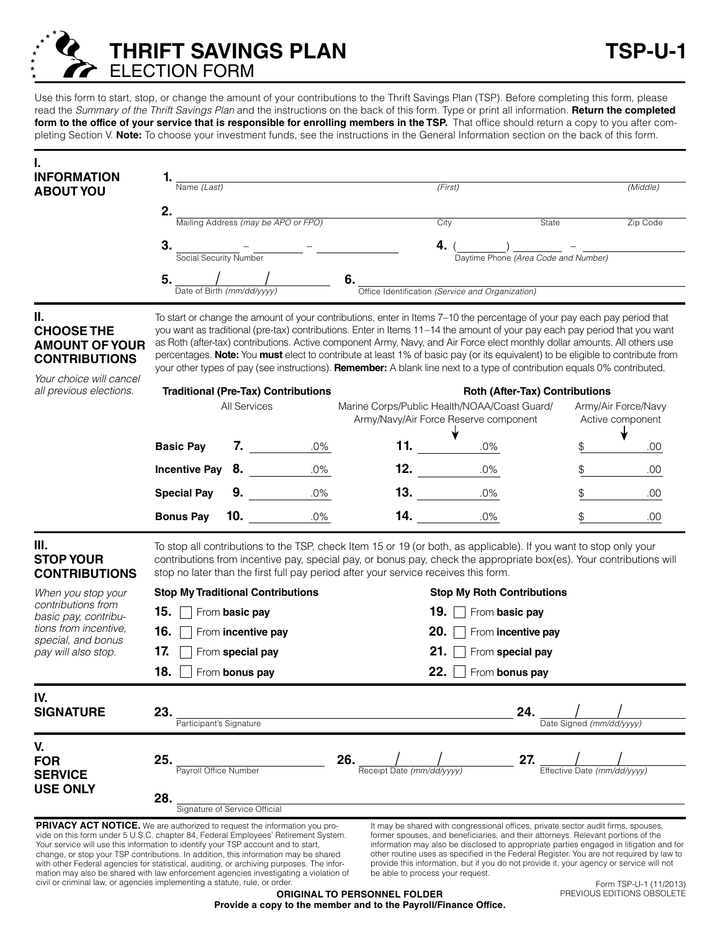

Use this form to start, stop, or change the amount of your contributions to the Thrift Savings Plan (TSP). Before completing this form, please read the *Summary of the Thrift Savings Plan* and the instructions on the back of this form. Type or print all information. **Return the completed**  form to the office of your service that is responsible for enrolling members in the TSP. That office should return a copy to you after completing Section V. **Note:** To choose your investment funds, see the instructions in the General Information section on the back of this form.

| <b>INFORMATION</b>                                                                                                                                                                                                                                                                                                                                 |                                                                                                                                                                                                                                                                                                                                                                                                                                                                                                                                                                                                                                                    |                |                                            |                                                                                       |                                   |                                                                                                                                                                                                                                                                                                                                                            |                             |                                         |  |
|----------------------------------------------------------------------------------------------------------------------------------------------------------------------------------------------------------------------------------------------------------------------------------------------------------------------------------------------------|----------------------------------------------------------------------------------------------------------------------------------------------------------------------------------------------------------------------------------------------------------------------------------------------------------------------------------------------------------------------------------------------------------------------------------------------------------------------------------------------------------------------------------------------------------------------------------------------------------------------------------------------------|----------------|--------------------------------------------|---------------------------------------------------------------------------------------|-----------------------------------|------------------------------------------------------------------------------------------------------------------------------------------------------------------------------------------------------------------------------------------------------------------------------------------------------------------------------------------------------------|-----------------------------|-----------------------------------------|--|
| <b>ABOUT YOU</b>                                                                                                                                                                                                                                                                                                                                   | $\overline{\text{Name } (Last)}$                                                                                                                                                                                                                                                                                                                                                                                                                                                                                                                                                                                                                   |                |                                            | (First)                                                                               |                                   |                                                                                                                                                                                                                                                                                                                                                            |                             | (Middle)                                |  |
|                                                                                                                                                                                                                                                                                                                                                    | 2.                                                                                                                                                                                                                                                                                                                                                                                                                                                                                                                                                                                                                                                 |                | Mailing Address (may be APO or FPO)        |                                                                                       | City                              | State                                                                                                                                                                                                                                                                                                                                                      |                             | Zip Code                                |  |
|                                                                                                                                                                                                                                                                                                                                                    | 3.                                                                                                                                                                                                                                                                                                                                                                                                                                                                                                                                                                                                                                                 |                |                                            |                                                                                       | 4.                                |                                                                                                                                                                                                                                                                                                                                                            |                             |                                         |  |
|                                                                                                                                                                                                                                                                                                                                                    | -<br>Social Security Number                                                                                                                                                                                                                                                                                                                                                                                                                                                                                                                                                                                                                        |                |                                            |                                                                                       |                                   | Daytime Phone (Area Code and Number)                                                                                                                                                                                                                                                                                                                       |                             |                                         |  |
|                                                                                                                                                                                                                                                                                                                                                    | 5.                                                                                                                                                                                                                                                                                                                                                                                                                                                                                                                                                                                                                                                 |                |                                            | 6.                                                                                    |                                   |                                                                                                                                                                                                                                                                                                                                                            |                             |                                         |  |
|                                                                                                                                                                                                                                                                                                                                                    | Date of Birth (mm/dd/yyyy)                                                                                                                                                                                                                                                                                                                                                                                                                                                                                                                                                                                                                         |                |                                            | Office Identification (Service and Organization)                                      |                                   |                                                                                                                                                                                                                                                                                                                                                            |                             |                                         |  |
| Ш.<br><b>CHOOSE THE</b><br><b>AMOUNT OF YOUR</b><br><b>CONTRIBUTIONS</b><br>Your choice will cancel                                                                                                                                                                                                                                                | To start or change the amount of your contributions, enter in Items 7-10 the percentage of your pay each pay period that<br>you want as traditional (pre-tax) contributions. Enter in Items 11-14 the amount of your pay each pay period that you want<br>as Roth (after-tax) contributions. Active component Army, Navy, and Air Force elect monthly dollar amounts. All others use<br>percentages. Note: You must elect to contribute at least 1% of basic pay (or its equivalent) to be eligible to contribute from<br>your other types of pay (see instructions). Remember: A blank line next to a type of contribution equals 0% contributed. |                |                                            |                                                                                       |                                   |                                                                                                                                                                                                                                                                                                                                                            |                             |                                         |  |
| all previous elections.                                                                                                                                                                                                                                                                                                                            |                                                                                                                                                                                                                                                                                                                                                                                                                                                                                                                                                                                                                                                    |                | <b>Traditional (Pre-Tax) Contributions</b> | <b>Roth (After-Tax) Contributions</b>                                                 |                                   |                                                                                                                                                                                                                                                                                                                                                            |                             |                                         |  |
|                                                                                                                                                                                                                                                                                                                                                    |                                                                                                                                                                                                                                                                                                                                                                                                                                                                                                                                                                                                                                                    | All Services   |                                            | Marine Corps/Public Health/NOAA/Coast Guard/<br>Army/Navy/Air Force Reserve component |                                   |                                                                                                                                                                                                                                                                                                                                                            |                             | Army/Air Force/Navy<br>Active component |  |
|                                                                                                                                                                                                                                                                                                                                                    | <b>Basic Pay</b>                                                                                                                                                                                                                                                                                                                                                                                                                                                                                                                                                                                                                                   |                | $\mathbf{7.}$<br>$.0\%$                    |                                                                                       | 11. $\qquad \qquad$               | .0%                                                                                                                                                                                                                                                                                                                                                        | \$                          | .00                                     |  |
|                                                                                                                                                                                                                                                                                                                                                    | <b>Incentive Pay</b>                                                                                                                                                                                                                                                                                                                                                                                                                                                                                                                                                                                                                               | 8.             | $.0\%$                                     |                                                                                       | 12.                               | .0%                                                                                                                                                                                                                                                                                                                                                        |                             | .00                                     |  |
|                                                                                                                                                                                                                                                                                                                                                    | <b>Special Pay</b>                                                                                                                                                                                                                                                                                                                                                                                                                                                                                                                                                                                                                                 | 9.             | $.0\%$                                     |                                                                                       | 13.                               | .0%                                                                                                                                                                                                                                                                                                                                                        |                             | .00.                                    |  |
|                                                                                                                                                                                                                                                                                                                                                    | <b>Bonus Pay</b>                                                                                                                                                                                                                                                                                                                                                                                                                                                                                                                                                                                                                                   |                | $.0\%$<br>10.                              | 14.                                                                                   | $.0\%$                            |                                                                                                                                                                                                                                                                                                                                                            |                             | .00                                     |  |
| Ш.<br><b>STOP YOUR</b><br><b>CONTRIBUTIONS</b>                                                                                                                                                                                                                                                                                                     | To stop all contributions to the TSP, check Item 15 or 19 (or both, as applicable). If you want to stop only your<br>contributions from incentive pay, special pay, or bonus pay, check the appropriate box(es). Your contributions will<br>stop no later than the first full pay period after your service receives this form.                                                                                                                                                                                                                                                                                                                    |                |                                            |                                                                                       |                                   |                                                                                                                                                                                                                                                                                                                                                            |                             |                                         |  |
| When you stop your<br>contributions from<br>basic pay, contribu-<br>tions from incentive,<br>special, and bonus<br>pay will also stop.                                                                                                                                                                                                             |                                                                                                                                                                                                                                                                                                                                                                                                                                                                                                                                                                                                                                                    |                | <b>Stop My Traditional Contributions</b>   |                                                                                       | <b>Stop My Roth Contributions</b> |                                                                                                                                                                                                                                                                                                                                                            |                             |                                         |  |
|                                                                                                                                                                                                                                                                                                                                                    | 15.                                                                                                                                                                                                                                                                                                                                                                                                                                                                                                                                                                                                                                                | From basic pay |                                            | 19.<br>From basic pay                                                                 |                                   |                                                                                                                                                                                                                                                                                                                                                            |                             |                                         |  |
|                                                                                                                                                                                                                                                                                                                                                    | 16.                                                                                                                                                                                                                                                                                                                                                                                                                                                                                                                                                                                                                                                |                | From incentive pay                         |                                                                                       | 20.<br>From incentive pay         |                                                                                                                                                                                                                                                                                                                                                            |                             |                                         |  |
|                                                                                                                                                                                                                                                                                                                                                    | 17.<br>From special pay                                                                                                                                                                                                                                                                                                                                                                                                                                                                                                                                                                                                                            |                |                                            |                                                                                       | 21.<br>From special pay           |                                                                                                                                                                                                                                                                                                                                                            |                             |                                         |  |
|                                                                                                                                                                                                                                                                                                                                                    | 18.<br>From bonus pay                                                                                                                                                                                                                                                                                                                                                                                                                                                                                                                                                                                                                              |                |                                            | 22.<br>From bonus pay                                                                 |                                   |                                                                                                                                                                                                                                                                                                                                                            |                             |                                         |  |
| IV.<br><b>SIGNATURE</b>                                                                                                                                                                                                                                                                                                                            | 23.<br>Participant's Signature                                                                                                                                                                                                                                                                                                                                                                                                                                                                                                                                                                                                                     |                |                                            |                                                                                       |                                   | 24.                                                                                                                                                                                                                                                                                                                                                        | Date Signed (mm/dd/yyyy)    |                                         |  |
| V.<br><b>FOR</b><br><b>SERVICE</b><br><b>USE ONLY</b>                                                                                                                                                                                                                                                                                              | 25.                                                                                                                                                                                                                                                                                                                                                                                                                                                                                                                                                                                                                                                |                |                                            |                                                                                       |                                   | 27.                                                                                                                                                                                                                                                                                                                                                        |                             |                                         |  |
|                                                                                                                                                                                                                                                                                                                                                    | Payroll Office Number                                                                                                                                                                                                                                                                                                                                                                                                                                                                                                                                                                                                                              |                |                                            | <b>26.</b> $\frac{1}{\text{Receipt Date } (mm/dd/yyyy)}$                              |                                   |                                                                                                                                                                                                                                                                                                                                                            | Effective Date (mm/dd/yyyy) |                                         |  |
|                                                                                                                                                                                                                                                                                                                                                    | 28.                                                                                                                                                                                                                                                                                                                                                                                                                                                                                                                                                                                                                                                |                |                                            |                                                                                       |                                   |                                                                                                                                                                                                                                                                                                                                                            |                             |                                         |  |
|                                                                                                                                                                                                                                                                                                                                                    | Signature of Service Official                                                                                                                                                                                                                                                                                                                                                                                                                                                                                                                                                                                                                      |                |                                            |                                                                                       |                                   |                                                                                                                                                                                                                                                                                                                                                            |                             |                                         |  |
| <b>PRIVACY ACT NOTICE.</b> We are authorized to request the information you pro-<br>vide on this form under 5 U.S.C. chapter 84, Federal Employees' Retirement System.<br>Your service will use this information to identify your TSP account and to start,<br>change, or stop your TSP contributions. In addition, this information may be shared |                                                                                                                                                                                                                                                                                                                                                                                                                                                                                                                                                                                                                                                    |                |                                            |                                                                                       |                                   | It may be shared with congressional offices, private sector audit firms, spouses,<br>former spouses, and beneficiaries, and their attorneys. Relevant portions of the<br>information may also be disclosed to appropriate parties engaged in litigation and for<br>other routine uses as specified in the Federal Register. You are not required by law to |                             |                                         |  |

**ORIGINAL TO PERSONNEL FOLDER Provide a copy to the member and to the Payroll/Finance Office.** mation may also be shared with law enforcement agencies investigating a violation of civil or criminal law, or agencies implementing a statute, rule, or order. be able to process your request.

with other Federal agencies for statistical, auditing, or archiving purposes. The infor-

Form TSP-U-1 (11/2013) PREVIOUS EDITIONS OBSOLETÉ

provide this information, but if you do not provide it, your agency or service will not